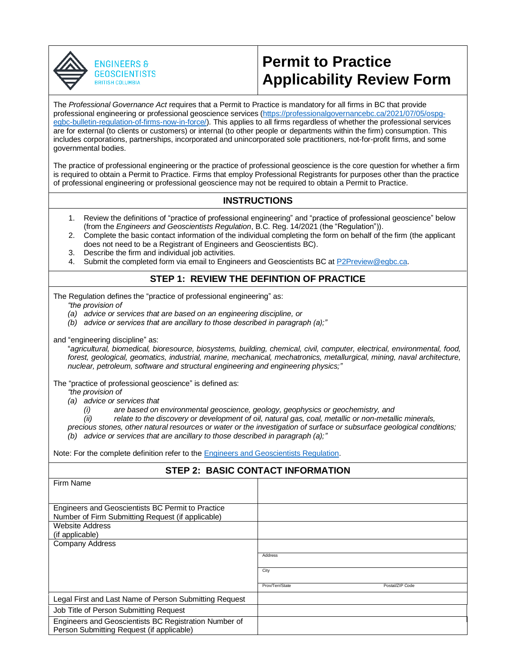



## **Permit to Practice Applicability Review Form**

The *Professional Governance Act* requires that a Permit to Practice is mandatory for all firms in BC that provide professional engineering or professional geoscience services [\(https://professionalgovernancebc.ca/2021/07/05/ospg](https://professionalgovernancebc.ca/2021/07/05/ospg-egbc-bulletin-regulation-of-firms-now-in-force/)[egbc-bulletin-regulation-of-firms-now-in-force/\)](https://professionalgovernancebc.ca/2021/07/05/ospg-egbc-bulletin-regulation-of-firms-now-in-force/). This applies to all firms regardless of whether the professional services are for external (to clients or customers) or internal (to other people or departments within the firm) consumption. This includes corporations, partnerships, incorporated and unincorporated sole practitioners, not-for-profit firms, and some governmental bodies.

The practice of professional engineering or the practice of professional geoscience is the core question for whether a firm is required to obtain a Permit to Practice. Firms that employ Professional Registrants for purposes other than the practice of professional engineering or professional geoscience may not be required to obtain a Permit to Practice.

## **INSTRUCTIONS**

- 1. Review the definitions of "practice of professional engineering" and "practice of professional geoscience" below (from the *Engineers and Geoscientists Regulation*, B.C. Reg. 14/2021 (the "Regulation")).
- 2. Complete the basic contact information of the individual completing the form on behalf of the firm (the applicant does not need to be a Registrant of Engineers and Geoscientists BC).
- 3. Describe the firm and individual job activities.
- 4. Submit the completed form via email to Engineers and Geoscientists BC at [P2Preview@egbc.ca.](mailto:P2Preview@egbc.ca)

## **STEP 1: REVIEW THE DEFINTION OF PRACTICE**

The Regulation defines the "practice of professional engineering" as:

*"the provision of*

- *(a) advice or services that are based on an engineering discipline, or*
- *(b) advice or services that are ancillary to those described in paragraph (a);"*
- and "engineering discipline" as:

"*agricultural, biomedical, bioresource, biosystems, building, chemical, civil, computer, electrical, environmental, food, forest, geological, geomatics, industrial, marine, mechanical, mechatronics, metallurgical, mining, naval architecture, nuclear, petroleum, software and structural engineering and engineering physics;"*

The "practice of professional geoscience" is defined as:

*"the provision of*

*(a) advice or services that*

- *(i) are based on environmental geoscience, geology, geophysics or geochemistry, and*
- *(ii) relate to the discovery or development of oil, natural gas, coal, metallic or non-metallic minerals,*
- *precious stones, other natural resources or water or the investigation of surface or subsurface geological conditions; (b) advice or services that are ancillary to those described in paragraph (a);"*

Note: For the complete definition refer to the [Engineers and Geoscientists Regulation.](https://www.bclaws.gov.bc.ca/civix/document/id/complete/statreg/14_2021)

| <b>STEP 2: BASIC CONTACT INFORMATION</b>                                                           |                                    |
|----------------------------------------------------------------------------------------------------|------------------------------------|
| Firm Name                                                                                          |                                    |
|                                                                                                    |                                    |
| Engineers and Geoscientists BC Permit to Practice                                                  |                                    |
| Number of Firm Submitting Request (if applicable)                                                  |                                    |
| <b>Website Address</b>                                                                             |                                    |
| (if applicable)                                                                                    |                                    |
| <b>Company Address</b>                                                                             |                                    |
|                                                                                                    | Address                            |
|                                                                                                    | City                               |
|                                                                                                    | Prov/Terr/State<br>Postal/ZIP Code |
| Legal First and Last Name of Person Submitting Request                                             |                                    |
| Job Title of Person Submitting Request                                                             |                                    |
| Engineers and Geoscientists BC Registration Number of<br>Person Submitting Request (if applicable) |                                    |